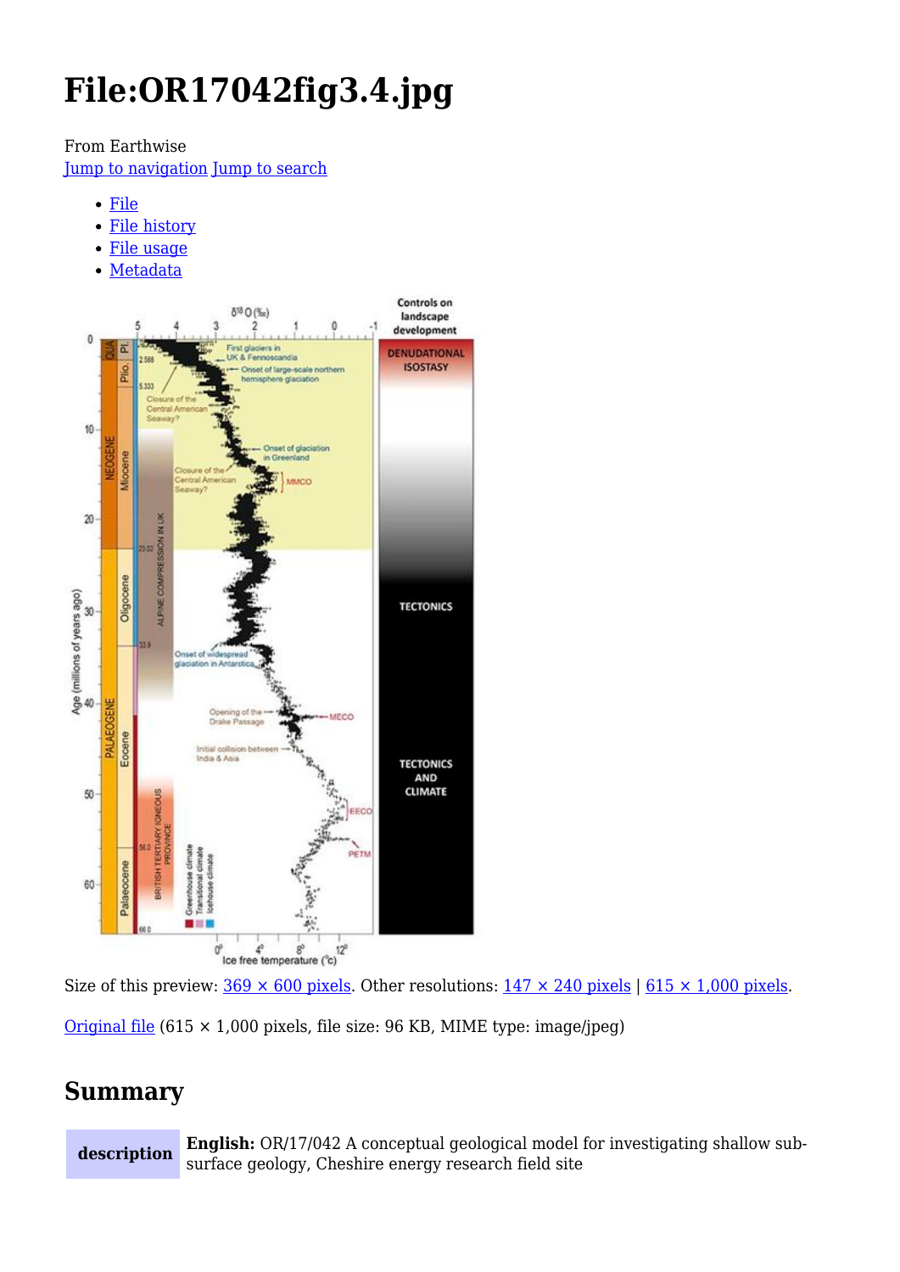# **File:OR17042fig3.4.jpg**

From Earthwise

[Jump to navigation](#page--1-0) [Jump to search](#page--1-0)

- [File](#page--1-0)
- [File history](#page--1-0)
- [File usage](#page--1-0)
- [Metadata](#page--1-0)



Size of this preview:  $369 \times 600$  pixels. Other resolutions:  $147 \times 240$  pixels |  $615 \times 1,000$  pixels.

[Original file](http://earthwise.bgs.ac.uk/images/4/4b/OR17042fig3.4.jpg) (615 × 1,000 pixels, file size: 96 KB, MIME type: image/jpeg)

# **Summary**

**description English:** OR/17/042 A conceptual geological model for investigating shallow subsurface geology, Cheshire energy research field site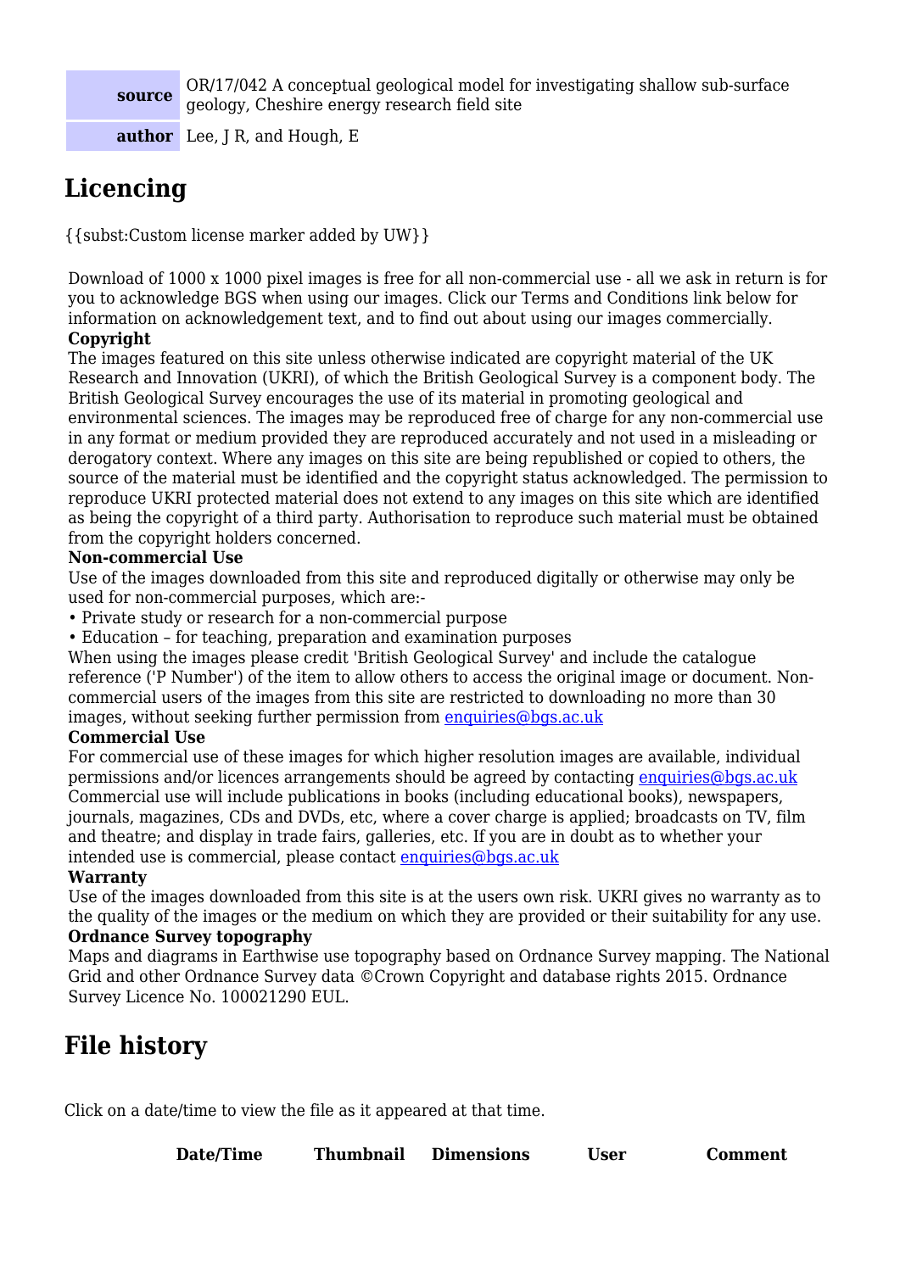#### **source**

OR/17/042 A conceptual geological model for investigating shallow sub‐surface geology, Cheshire energy research field site

**author** Lee, J R, and Hough, E

# **Licencing**

{{subst:Custom license marker added by UW}}

Download of 1000 x 1000 pixel images is free for all non-commercial use - all we ask in return is for you to acknowledge BGS when using our images. Click our Terms and Conditions link below for information on acknowledgement text, and to find out about using our images commercially.

#### **Copyright**

The images featured on this site unless otherwise indicated are copyright material of the UK Research and Innovation (UKRI), of which the British Geological Survey is a component body. The British Geological Survey encourages the use of its material in promoting geological and environmental sciences. The images may be reproduced free of charge for any non-commercial use in any format or medium provided they are reproduced accurately and not used in a misleading or derogatory context. Where any images on this site are being republished or copied to others, the source of the material must be identified and the copyright status acknowledged. The permission to reproduce UKRI protected material does not extend to any images on this site which are identified as being the copyright of a third party. Authorisation to reproduce such material must be obtained from the copyright holders concerned.

#### **Non-commercial Use**

Use of the images downloaded from this site and reproduced digitally or otherwise may only be used for non-commercial purposes, which are:-

- Private study or research for a non-commercial purpose
- Education for teaching, preparation and examination purposes

When using the images please credit 'British Geological Survey' and include the catalogue reference ('P Number') of the item to allow others to access the original image or document. Noncommercial users of the images from this site are restricted to downloading no more than 30 images, without seeking further permission from [enquiries@bgs.ac.uk](mailto:enquiries@bgs.ac.uk)

#### **Commercial Use**

For commercial use of these images for which higher resolution images are available, individual permissions and/or licences arrangements should be agreed by contacting [enquiries@bgs.ac.uk](mailto:enquiries@bgs.ac.uk) Commercial use will include publications in books (including educational books), newspapers, journals, magazines, CDs and DVDs, etc, where a cover charge is applied; broadcasts on TV, film and theatre; and display in trade fairs, galleries, etc. If you are in doubt as to whether your intended use is commercial, please contact [enquiries@bgs.ac.uk](mailto:enquiries@bgs.ac.uk)

#### **Warranty**

Use of the images downloaded from this site is at the users own risk. UKRI gives no warranty as to the quality of the images or the medium on which they are provided or their suitability for any use.

#### **Ordnance Survey topography**

Maps and diagrams in Earthwise use topography based on Ordnance Survey mapping. The National Grid and other Ordnance Survey data ©Crown Copyright and database rights 2015. Ordnance Survey Licence No. 100021290 EUL.

# **File history**

Click on a date/time to view the file as it appeared at that time.

| Date/Time | Thumbnail | <b>Dimensions</b> | User | <b>Comment</b> |
|-----------|-----------|-------------------|------|----------------|
|           |           |                   |      |                |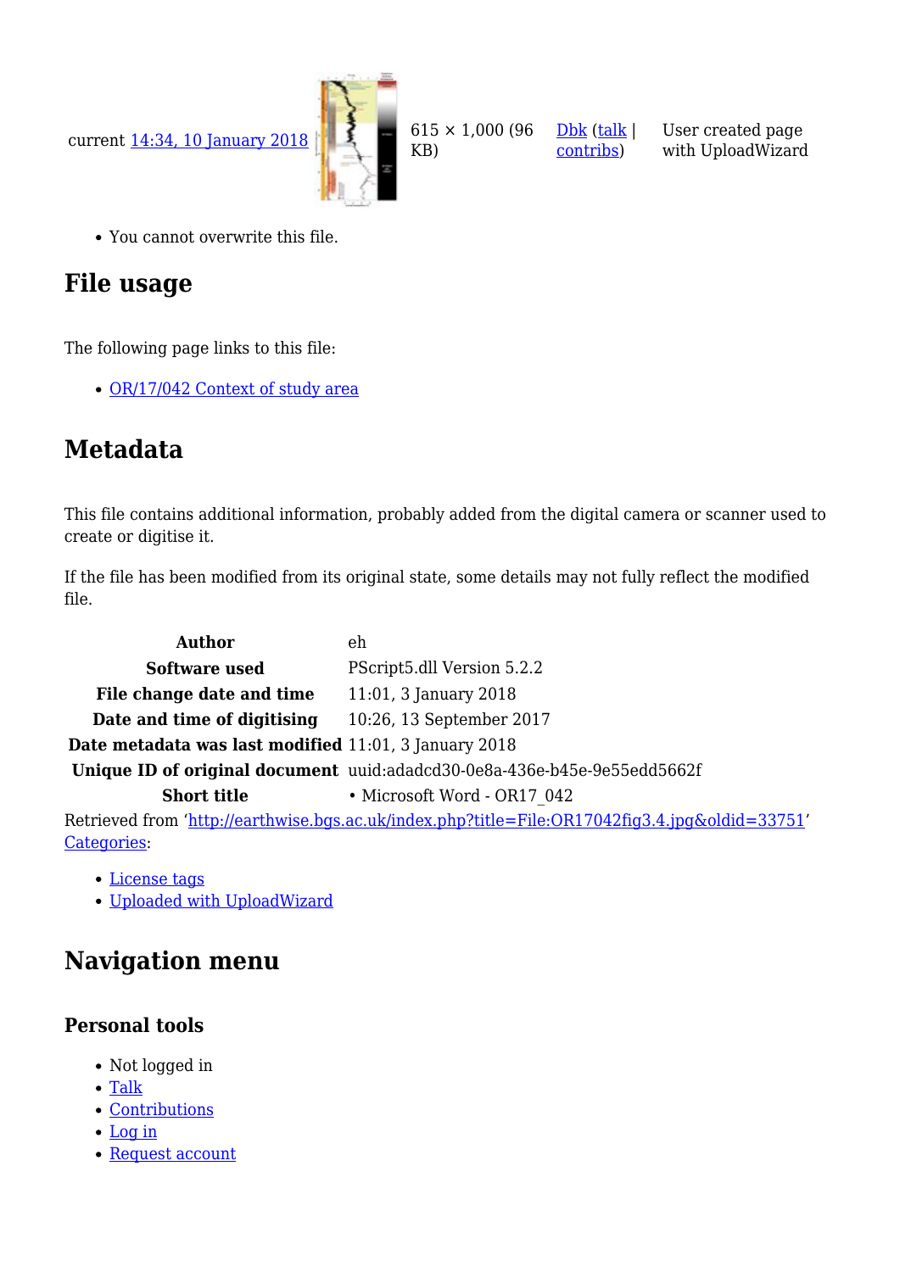

You cannot overwrite this file.

# **File usage**

The following page links to this file:

• [OR/17/042 Context of study area](http://earthwise.bgs.ac.uk/index.php/OR/17/042_Context_of_study_area)

# **Metadata**

This file contains additional information, probably added from the digital camera or scanner used to create or digitise it.

[Dbk](http://earthwise.bgs.ac.uk/index.php/User:Dbk) ([talk](http://earthwise.bgs.ac.uk/index.php/User_talk:Dbk) | [contribs](http://earthwise.bgs.ac.uk/index.php/Special:Contributions/Dbk))

User created page with UploadWizard

If the file has been modified from its original state, some details may not fully reflect the modified file.

| Author                                                                                         | eh                                                                       |  |
|------------------------------------------------------------------------------------------------|--------------------------------------------------------------------------|--|
| Software used                                                                                  | PScript5.dll Version 5.2.2                                               |  |
| File change date and time                                                                      | $11:01, 3$ January 2018                                                  |  |
| Date and time of digitising                                                                    | 10:26, 13 September 2017                                                 |  |
| Date metadata was last modified 11:01, 3 January 2018                                          |                                                                          |  |
|                                                                                                | Unique ID of original document uuid:adadcd30-0e8a-436e-b45e-9e55edd5662f |  |
| <b>Short title</b>                                                                             | • Microsoft Word - OR17 042                                              |  |
| Netrieved from 'http://earthwise.bgs.ac.uk/index.php?title=File:OR17042fig3.4.jpg&oldid=33751' |                                                                          |  |
| Categories:                                                                                    |                                                                          |  |

- [License tags](http://earthwise.bgs.ac.uk/index.php/Category:License_tags)
- [Uploaded with UploadWizard](http://earthwise.bgs.ac.uk/index.php/Category:Uploaded_with_UploadWizard)

## **Navigation menu**

### **Personal tools**

- Not logged in
- [Talk](http://earthwise.bgs.ac.uk/index.php/Special:MyTalk)
- [Contributions](http://earthwise.bgs.ac.uk/index.php/Special:MyContributions)
- [Log in](http://earthwise.bgs.ac.uk/index.php?title=Special:UserLogin&returnto=File%3AOR17042fig3.4.jpg&returntoquery=action%3Dmpdf)
- [Request account](http://earthwise.bgs.ac.uk/index.php/Special:RequestAccount)